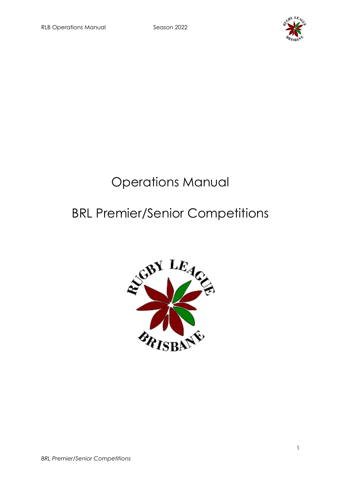

# Operations Manual

# BRL Premier/Senior Competitions

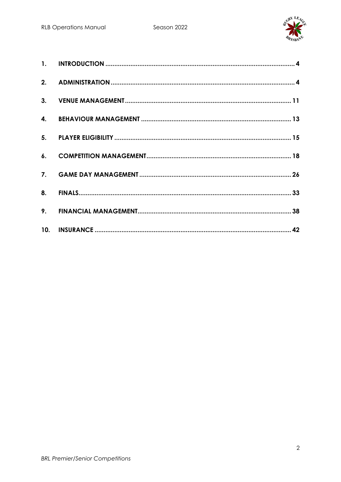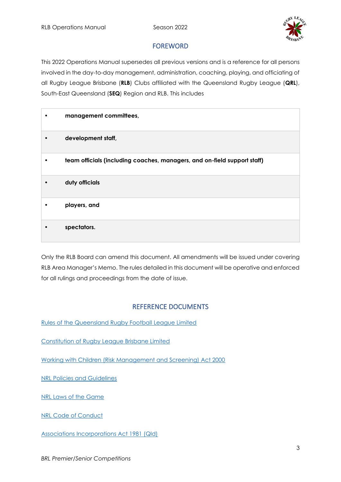

### FOREWORD

This 2022 Operations Manual supersedes all previous versions and is a reference for all persons involved in the day-to-day management, administration, coaching, playing, and officiating of all Rugby League Brisbane (**RLB**) Clubs affiliated with the Queensland Rugby League (**QRL**), South-East Queensland (**SEQ**) Region and RLB. This includes

| management committees,                                                   |
|--------------------------------------------------------------------------|
| development staff,                                                       |
| team officials (including coaches, managers, and on-field support staff) |
| duty officials                                                           |
| players, and                                                             |
| spectators.                                                              |

Only the RLB Board can amend this document. All amendments will be issued under covering RLB Area Manager's Memo. The rules detailed in this document will be operative and enforced for all rulings and proceedings from the date of issue.

### REFERENCE DOCUMENTS

[Rules of the Queensland Rugby Football League Limited](https://www.qrl.com.au/clubhouse/resources/rules-and-policies/qrl-rules/)

[Constitution of Rugby League Brisbane Limited](https://781a37eb-2439-4df7-8027-996dae519650.filesusr.com/ugd/a0779d_c46347eb000a4b36b6f572cc108a07c2.pdf)

[Working with Children \(Risk Management and Screening\) Act 2000](https://www.legislation.qld.gov.au/view/pdf/inforce/current/act-2000-060)

[NRL Policies and Guidelines](https://www.playrugbyleague.com/policies/)

[NRL Laws of the Game](https://www.nrl.com/siteassets/operations/the-game/nrl-international-laws-of-the-game-2020.pdf)

[NRL Code of Conduct](https://www.playrugbyleague.com/media/9949/2020nrl-dev19_code_of_conduct_v4.pdf)

[Associations Incorporations Act 1981 \(Qld\)](https://www.legislation.qld.gov.au/view/pdf/inforce/current/act-1981-074)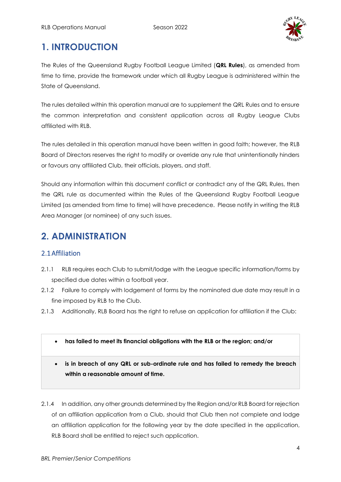

# <span id="page-3-0"></span>**1. INTRODUCTION**

The Rules of the Queensland Rugby Football League Limited (**QRL Rules**), as amended from time to time, provide the framework under which all Rugby League is administered within the State of Queensland.

The rules detailed within this operation manual are to supplement the QRL Rules and to ensure the common interpretation and consistent application across all Rugby League Clubs affiliated with RLB.

The rules detailed in this operation manual have been written in good faith; however, the RLB Board of Directors reserves the right to modify or override any rule that unintentionally hinders or favours any affiliated Club, their officials, players, and staff.

Should any information within this document conflict or contradict any of the QRL Rules, then the QRL rule as documented within the Rules of the Queensland Rugby Football League Limited (as amended from time to time) will have precedence. Please notify in writing the RLB Area Manager (or nominee) of any such issues.

# <span id="page-3-1"></span>**2. ADMINISTRATION**

### 2.1Affiliation

- 2.1.1 RLB requires each Club to submit/lodge with the League specific information/forms by specified due dates within a football year.
- 2.1.2 Failure to comply with lodgement of forms by the nominated due date may result in a fine imposed by RLB to the Club.
- 2.1.3 Additionally, RLB Board has the right to refuse an application for affiliation if the Club:
	- **has failed to meet its financial obligations with the RLB or the region; and/or**
	- **is in breach of any QRL or sub-ordinate rule and has failed to remedy the breach within a reasonable amount of time.**

2.1.4 In addition, any other grounds determined by the Region and/or RLB Board for rejection of an affiliation application from a Club, should that Club then not complete and lodge an affiliation application for the following year by the date specified in the application, RLB Board shall be entitled to reject such application.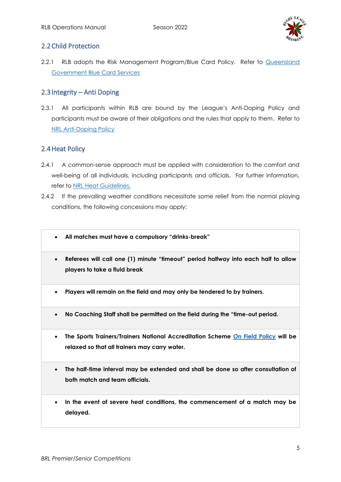

#### 2.2Child Protection

2.2.1 RLB adopts the Risk Management Program/Blue Card Policy. Refer to [Queensland](https://www.qld.gov.au/law/laws-regulated-industries-and-accountability/queensland-laws-and-regulations/regulated-industries-and-licensing/blue-card/organisations/update-details)  [Government Blue Card Services](https://www.qld.gov.au/law/laws-regulated-industries-and-accountability/queensland-laws-and-regulations/regulated-industries-and-licensing/blue-card/organisations/update-details)

#### 2.3Integrity – Anti Doping

2.3.1 All participants within RLB are bound by the League's Anti-Doping Policy and participants must be aware of their obligations and the rules that apply to them. Refer to [NRL Anti-Doping Policy](https://www.nrl.com/siteassets/operations/documentation/the-leagues-anti-doping-policy.pdf)

#### 2.4Heat Policy

- 2.4.1 A common-sense approach must be applied with consideration to the comfort and well-being of all individuals, including participants and officials. For further information, refer to [NRL Heat Guidelines.](https://www.playrugbyleague.com/media/1936/heat-guidelines_with-changes1.pdf)
- 2.4.2 If the prevailing weather conditions necessitate some relief from the normal playing conditions, the following concessions may apply:
	- **All matches must have a compulsory "drinks-break"**
	- **Referees will call one (1) minute "timeout" period halfway into each half to allow players to take a fluid break**
	- **Players will remain on the field and may only be tendered to by trainers.**
	- **No Coaching Staff shall be permitted on the field during the "time-out period.**
	- **The Sports Trainers/Trainers National Accreditation Scheme [On Field Policy](https://www.playrugbyleague.com/media/4916/nrl-on-field-policy_v4_0.pdf?_ga=2.200069165.285067718.1616240900-1105502845.1611784090) will be relaxed so that all trainers may carry water.**
	- **The half-time interval may be extended and shall be done so after consultation of both match and team officials.**
	- **In the event of severe heat conditions, the commencement of a match may be delayed.**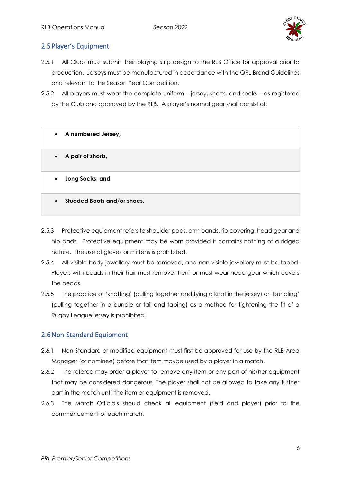

### 2.5Player's Equipment

- 2.5.1 All Clubs must submit their playing strip design to the RLB Office for approval prior to production. Jerseys must be manufactured in accordance with the QRL Brand Guidelines and relevant to the Season Year Competition.
- 2.5.2 All players must wear the complete uniform jersey, shorts, and socks as registered by the Club and approved by the RLB. A player's normal gear shall consist of:
	- **A numbered Jersey,**
	- **A pair of shorts,**
	- **Long Socks, and**
	- **Studded Boots and/or shoes.**
- 2.5.3 Protective equipment refers to shoulder pads, arm bands, rib covering, head gear and hip pads. Protective equipment may be worn provided it contains nothing of a ridged nature. The use of gloves or mittens is prohibited.
- 2.5.4 All visible body jewellery must be removed, and non-visible jewellery must be taped. Players with beads in their hair must remove them or must wear head gear which covers the beads.
- 2.5.5 The practice of 'knotting' (pulling together and tying a knot in the jersey) or 'bundling' (pulling together in a bundle or tail and taping) as a method for tightening the fit of a Rugby League jersey is prohibited.

### 2.6Non-Standard Equipment

- 2.6.1 Non-Standard or modified equipment must first be approved for use by the RLB Area Manager (or nominee) before that item maybe used by a player in a match.
- 2.6.2 The referee may order a player to remove any item or any part of his/her equipment that may be considered dangerous. The player shall not be allowed to take any further part in the match until the item or equipment is removed.
- 2.6.3 The Match Officials should check all equipment (field and player) prior to the commencement of each match.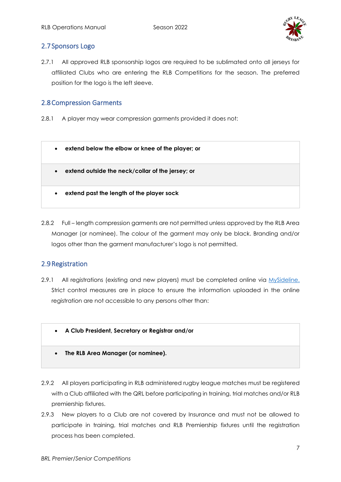

#### 2.7Sponsors Logo

2.7.1 All approved RLB sponsorship logos are required to be sublimated onto all jerseys for affiliated Clubs who are entering the RLB Competitions for the season. The preferred position for the logo is the left sleeve.

#### 2.8Compression Garments

2.8.1 A player may wear compression garments provided it does not:



2.8.2 Full – length compression garments are not permitted unless approved by the RLB Area Manager (or nominee). The colour of the garment may only be black. Branding and/or logos other than the garment manufacturer's logo is not permitted.

### 2.9Registration

- 2.9.1 All registrations (existing and new players) must be completed online via [MySideline.](https://profile.mysideline.com.au/register/) Strict control measures are in place to ensure the information uploaded in the online registration are not accessible to any persons other than:
	- **A Club President, Secretary or Registrar and/or**
	- **The RLB Area Manager (or nominee).**
- 2.9.2 All players participating in RLB administered rugby league matches must be registered with a Club affiliated with the QRL before participating in training, trial matches and/or RLB premiership fixtures.
- 2.9.3 New players to a Club are not covered by Insurance and must not be allowed to participate in training, trial matches and RLB Premiership fixtures until the registration process has been completed.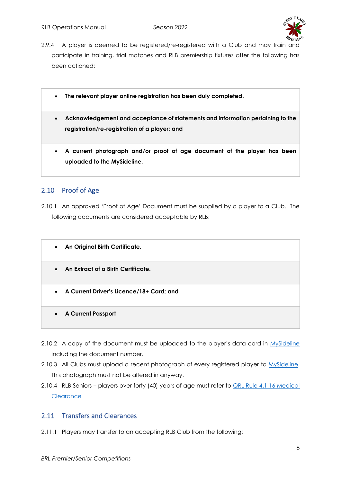

- 2.9.4 A player is deemed to be registered/re-registered with a Club and may train and participate in training, trial matches and RLB premiership fixtures after the following has been actioned:
	- **The relevant player online registration has been duly completed.**
	- **Acknowledgement and acceptance of statements and information pertaining to the registration/re-registration of a player; and**
	- **A current photograph and/or proof of age document of the player has been uploaded to the MySideline.**

### 2.10 Proof of Age

- 2.10.1 An approved 'Proof of Age' Document must be supplied by a player to a Club. The following documents are considered acceptable by RLB:
	- **An Original Birth Certificate.**
	- **An Extract of a Birth Certificate.**
	- **A Current Driver's Licence/18+ Card; and**
	- **A Current Passport**
- 2.10.2 A copy of the document must be uploaded to the player's data card in [MySideline](https://profile.mysideline.com.au/register/) including the document number.
- 2.10.3 All Clubs must upload a recent photograph of every registered player to [MySideline.](https://profile.mysideline.com.au/register/) This photograph must not be altered in anyway.
- 2.10.4 RLB Seniors players over forty (40) years of age must refer to **QRL Rule 4.1.16 Medical [Clearance](https://www.qrl.com.au/contentassets/fe165f50b22a4557bddabb6ca8e9d0a2/2021-part-4--review-261121-final.pdf)**

### 2.11 Transfers and Clearances

2.11.1 Players may transfer to an accepting RLB Club from the following: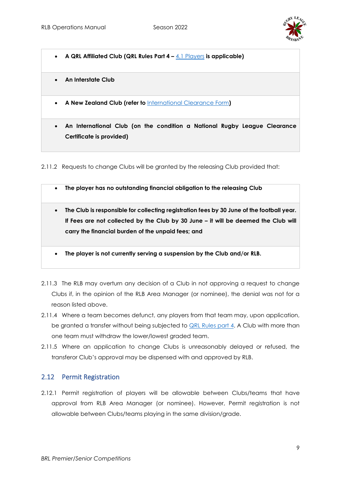

- **A QRL Affiliated Club (QRL Rules Part 4 –** [4.1 Players](https://www.qrl.com.au/contentassets/fe165f50b22a4557bddabb6ca8e9d0a2/2021-part-4--review-261121-final.pdf) **is applicable)**
- **An Interstate Club**
- **A New Zealand Club (refer to** [International Clearance Form](https://www.playrugbyleague.com/play/international-clearance/)**)**
- **An International Club (on the condition a National Rugby League Clearance Certificate is provided)**

2.11.2 Requests to change Clubs will be granted by the releasing Club provided that:

- **The player has no outstanding financial obligation to the releasing Club**
- **The Club is responsible for collecting registration fees by 30 June of the football year. If Fees are not collected by the Club by 30 June – it will be deemed the Club will carry the financial burden of the unpaid fees; and**
- **The player is not currently serving a suspension by the Club and/or RLB.**
- 2.11.3 The RLB may overturn any decision of a Club in not approving a request to change Clubs if, in the opinion of the RLB Area Manager (or nominee), the denial was not for a reason listed above.
- 2.11.4 Where a team becomes defunct, any players from that team may, upon application, be granted a transfer without being subjected to **QRL Rules part 4.** A Club with more than one team must withdraw the lower/lowest graded team.
- 2.11.5 Where an application to change Clubs is unreasonably delayed or refused, the transferor Club's approval may be dispensed with and approved by RLB.

### 2.12 Permit Registration

2.12.1 Permit registration of players will be allowable between Clubs/teams that have approval from RLB Area Manager (or nominee). However, Permit registration is not allowable between Clubs/teams playing in the same division/grade.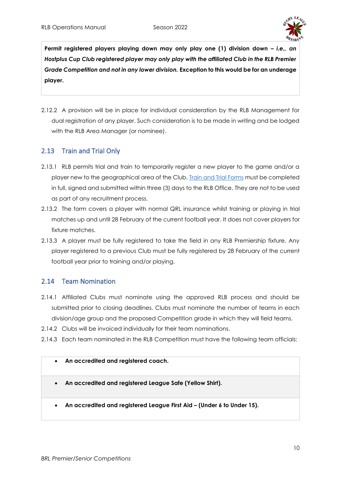

**Permit registered players playing down may only play one (1) division down –** *i.e., an Hostplus Cup Club registered player may only play with the affiliated Club in the RLB Premier Grade Competition and not in any lower division.* **Exception to this would be for an underage player.** 

2.12.2 A provision will be in place for individual consideration by the RLB Management for dual registration of any player. Such consideration is to be made in writing and be lodged with the RLB Area Manager (or nominee).

# 2.13 Train and Trial Only

- 2.13.1 RLB permits trial and train to temporarily register a new player to the game and/or a player new to the geographical area of the Club. **Train and Trial Forms** must be completed in full, signed and submitted within three (3) days to the RLB Office. They are not to be used as part of any recruitment process.
- 2.13.2 The form covers a player with normal QRL insurance whilst training or playing in trial matches up and until 28 February of the current football year. It does not cover players for fixture matches.
- 2.13.3 A player must be fully registered to take the field in any RLB Premiership fixture. Any player registered to a previous Club must be fully registered by 28 February of the current football year prior to training and/or playing.

### 2.14 Team Nomination

- 2.14.1 Affiliated Clubs must nominate using the approved RLB process and should be submitted prior to closing deadlines. Clubs must nominate the number of teams in each division/age group and the proposed Competition grade in which they will field teams.
- 2.14.2 Clubs will be invoiced individually for their team nominations.
- 2.14.3 Each team nominated in the RLB Competition must have the following team officials:

#### • **An accredited and registered coach.**

- **An accredited and registered League Safe (Yellow Shirt).**
- **An accredited and registered League First Aid – (Under 6 to Under 15).**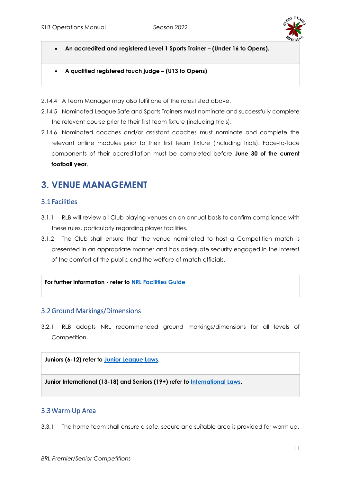

- **An accredited and registered Level 1 Sports Trainer – (Under 16 to Opens).**
- **A qualified registered touch judge – (U13 to Opens)**
- 2.14.4 A Team Manager may also fulfil one of the roles listed above.
- 2.14.5 Nominated League Safe and Sports Trainers must nominate and successfully complete the relevant course prior to their first team fixture (including trials).
- 2.14.6 Nominated coaches and/or assistant coaches must nominate and complete the relevant online modules prior to their first team fixture (including trials). Face-to-face components of their accreditation must be completed before **June 30 of the current football year**.

# <span id="page-10-0"></span>**3. VENUE MANAGEMENT**

### 3.1Facilities

- 3.1.1 RLB will review all Club playing venues on an annual basis to confirm compliance with these rules, particularly regarding player facilities.
- 3.1.2 The Club shall ensure that the venue nominated to host a Competition match is presented in an appropriate manner and has adequate security engaged in the interest of the comfort of the public and the welfare of match officials.

#### **For further information - refer to [NRL Facilities Guide](https://www.playrugbyleague.com/media/1941/nrl-preferred-facility-guidelines.pdf)**

#### 3.2Ground Markings/Dimensions

3.2.1 RLB adopts NRL recommended ground markings/dimensions for all levels of Competition**.** 

#### **Juniors (6-12) refer to [Junior League Laws.](https://www.playrugbyleague.com/laws-of-the-game-community/junior-league-laws-6-12s/)**

**Junior International (13-18) and Seniors (19+) refer to [International Laws.](https://www.playrugbyleague.com/laws-of-the-game-community/international-13splus-laws/)** 

#### 3.3Warm Up Area

3.3.1 The home team shall ensure a safe, secure and suitable area is provided for warm up.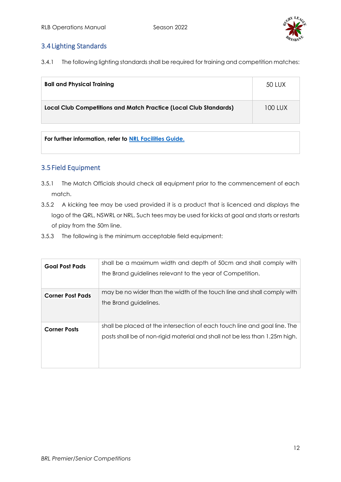

### 3.4Lighting Standards

3.4.1 The following lighting standards shall be required for training and competition matches:

| <b>Ball and Physical Training</b>                                 | 50 LUX  |
|-------------------------------------------------------------------|---------|
| Local Club Competitions and Match Practice (Local Club Standards) | 100 LUX |

**For further information, refer to [NRL Facilities Guide.](https://www.playrugbyleague.com/media/1941/nrl-preferred-facility-guidelines.pdf)**

#### 3.5Field Equipment

- 3.5.1 The Match Officials should check all equipment prior to the commencement of each match.
- 3.5.2 A kicking tee may be used provided it is a product that is licenced and displays the logo of the QRL, NSWRL or NRL. Such tees may be used for kicks at goal and starts or restarts of play from the 50m line.
- 3.5.3 The following is the minimum acceptable field equipment:

<span id="page-11-0"></span>

| <b>Goal Post Pads</b>   | shall be a maximum width and depth of 50cm and shall comply with<br>the Brand guidelines relevant to the year of Competition.                            |
|-------------------------|----------------------------------------------------------------------------------------------------------------------------------------------------------|
| <b>Corner Post Pads</b> | may be no wider than the width of the touch line and shall comply with<br>the Brand guidelines.                                                          |
| <b>Corner Posts</b>     | shall be placed at the intersection of each touch line and goal line. The<br>posts shall be of non-rigid material and shall not be less than 1.25m high. |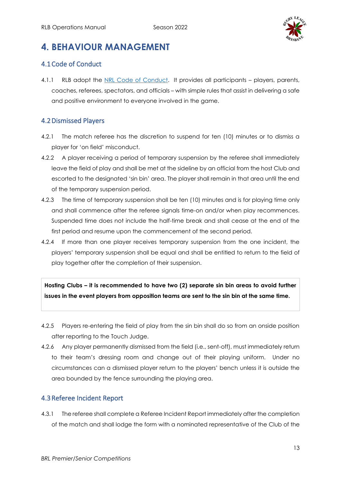

# **4. BEHAVIOUR MANAGEMENT**

# 4.1Code of Conduct

4.1.1 RLB adopt the [NRL Code of Conduct.](https://www.playrugbyleague.com/media/9949/2020nrl-dev19_code_of_conduct_v4.pdf) It provides all participants - players, parents, coaches, referees, spectators, and officials – with simple rules that assist in delivering a safe and positive environment to everyone involved in the game.

# 4.2Dismissed Players

- 4.2.1 The match referee has the discretion to suspend for ten (10) minutes or to dismiss a player for 'on field' misconduct.
- 4.2.2 A player receiving a period of temporary suspension by the referee shall immediately leave the field of play and shall be met at the sideline by an official from the host Club and escorted to the designated 'sin bin' area. The player shall remain in that area until the end of the temporary suspension period.
- 4.2.3 The time of temporary suspension shall be ten (10) minutes and is for playing time only and shall commence after the referee signals time-on and/or when play recommences. Suspended time does not include the half-time break and shall cease at the end of the first period and resume upon the commencement of the second period.
- 4.2.4 If more than one player receives temporary suspension from the one incident, the players' temporary suspension shall be equal and shall be entitled to return to the field of play together after the completion of their suspension.

**Hosting Clubs – it is recommended to have two (2) separate sin bin areas to avoid further issues in the event players from opposition teams are sent to the sin bin at the same time.** 

- 4.2.5 Players re-entering the field of play from the sin bin shall do so from an onside position after reporting to the Touch Judge.
- 4.2.6 Any player permanently dismissed from the field (i.e., sent-off), must immediately return to their team's dressing room and change out of their playing uniform. Under no circumstances can a dismissed player return to the players' bench unless it is outside the area bounded by the fence surrounding the playing area.

### 4.3Referee Incident Report

4.3.1 The referee shall complete a Referee Incident Report immediately after the completion of the match and shall lodge the form with a nominated representative of the Club of the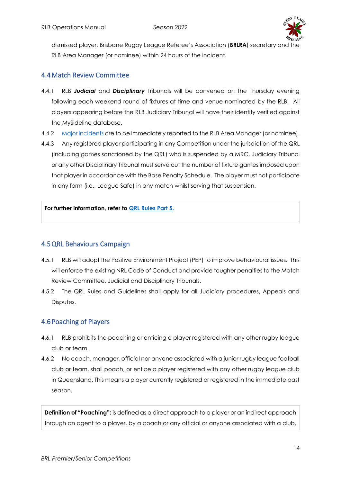

dismissed player, Brisbane Rugby League Referee's Association (**BRLRA**) secretary and the RLB Area Manager (or nominee) within 24 hours of the incident.

### 4.4Match Review Committee

- 4.4.1 RLB *Judicial* and *Disciplinary* Tribunals will be convened on the Thursday evening following each weekend round of fixtures at time and venue nominated by the RLB. All players appearing before the RLB Judiciary Tribunal will have their identity verified against the MySideline database.
- 4.4.2 [Major incidents](https://www.rugbyleaguebrisbane.com.au/_files/ugd/a0779d_2b4b212b6795419c9a89add91790d8b6.pdf) are to be immediately reported to the RLB Area Manager (or nominee).
- 4.4.3 Any registered player participating in any Competition under the jurisdiction of the QRL (including games sanctioned by the QRL) who is suspended by a MRC, Judiciary Tribunal or any other Disciplinary Tribunal must serve out the number of fixture games imposed upon that player in accordance with the Base Penalty Schedule. The player must not participate in any form (i.e., League Safe) in any match whilst serving that suspension.

#### **For further information, refer to [QRL Rules Part 5.](https://www.qrl.com.au/contentassets/5082282f19124e0cab5852f0b1815557/qrl-rules-part-5.pdf)**

# 4.5QRL Behaviours Campaign

- 4.5.1 RLB will adopt the Positive Environment Project (PEP) to improve behavioural issues. This will enforce the existing NRL Code of Conduct and provide tougher penalties to the Match Review Committee, Judicial and Disciplinary Tribunals.
- 4.5.2 The QRL Rules and Guidelines shall apply for all Judiciary procedures, Appeals and Disputes.

### 4.6Poaching of Players

- 4.6.1 RLB prohibits the poaching or enticing a player registered with any other rugby league club or team.
- 4.6.2 No coach, manager, official nor anyone associated with a junior rugby league football club or team, shall poach, or entice a player registered with any other rugby league club in Queensland. This means a player currently registered or registered in the immediate past season.

**Definition of "Poaching":** is defined as a direct approach to a player or an indirect approach through an agent to a player, by a coach or any official or anyone associated with a club,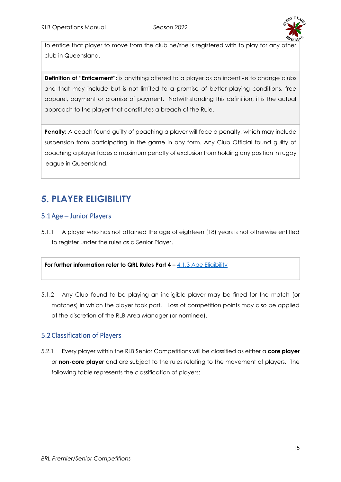

to entice that player to move from the club he/she is registered with to play for any other club in Queensland.

**Definition of "Enticement":** is anything offered to a player as an incentive to change clubs and that may include but is not limited to a promise of better playing conditions, free apparel, payment or promise of payment. Notwithstanding this definition, it is the actual approach to the player that constitutes a breach of the Rule.

**Penalty:** A coach found guilty of poaching a player will face a penalty, which may include suspension from participating in the game in any form. Any Club Official found guilty of poaching a player faces a maximum penalty of exclusion from holding any position in rugby league in Queensland.

# <span id="page-14-0"></span>**5. PLAYER ELIGIBILITY**

### 5.1Age – Junior Players

5.1.1 A player who has not attained the age of eighteen (18) years is not otherwise entitled to register under the rules as a Senior Player.

#### **For further information refer to QRL Rules Part 4 – [4.1.3 Age Eligibility](https://www.qrl.com.au/contentassets/fe165f50b22a4557bddabb6ca8e9d0a2/part-4--review-07022022.pdf)**

5.1.2 Any Club found to be playing an ineligible player may be fined for the match (or matches) in which the player took part. Loss of competition points may also be applied at the discretion of the RLB Area Manager (or nominee).

### 5.2Classification of Players

5.2.1 Every player within the RLB Senior Competitions will be classified as either a **core player** or **non-core player** and are subject to the rules relating to the movement of players. The following table represents the classification of players: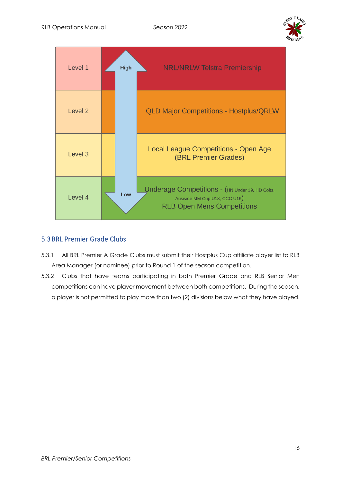



### 5.3BRL Premier Grade Clubs

- 5.3.1 All BRL Premier A Grade Clubs must submit their Hostplus Cup affiliate player list to RLB Area Manager (or nominee) prior to Round 1 of the season competition.
- 5.3.2 Clubs that have teams participating in both Premier Grade and RLB Senior Men competitions can have player movement between both competitions. During the season, a player is not permitted to play more than two (2) divisions below what they have played.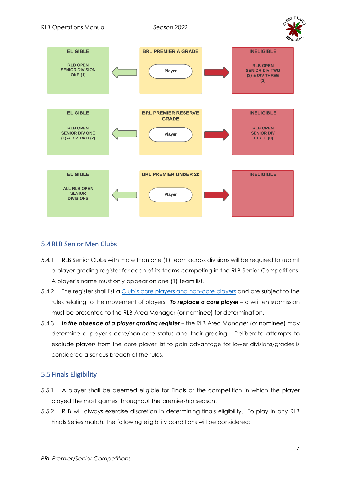



#### 5.4RLB Senior Men Clubs

- 5.4.1 RLB Senior Clubs with more than one (1) team across divisions will be required to submit a player grading register for each of its teams competing in the RLB Senior Competitions. A player's name must only appear on one (1) team list.
- 5.4.2 The register shall list a Club'[s core players and non-core players](https://www.rugbyleaguebrisbane.com.au/_files/ugd/a0779d_45185eab8fd94f889a766c0a4e38e32a.pdf) and are subject to the rules relating to the movement of players. *To replace a core player* – a written submission must be presented to the RLB Area Manager (or nominee) for determination.
- 5.4.3 *In the absence of a player grading register* the RLB Area Manager (or nominee) may determine a player's core/non-core status and their grading. Deliberate attempts to exclude players from the core player list to gain advantage for lower divisions/grades is considered a serious breach of the rules.

### 5.5Finals Eligibility

- 5.5.1 A player shall be deemed eligible for Finals of the competition in which the player played the most games throughout the premiership season.
- 5.5.2 RLB will always exercise discretion in determining finals eligibility. To play in any RLB Finals Series match, the following eligibility conditions will be considered: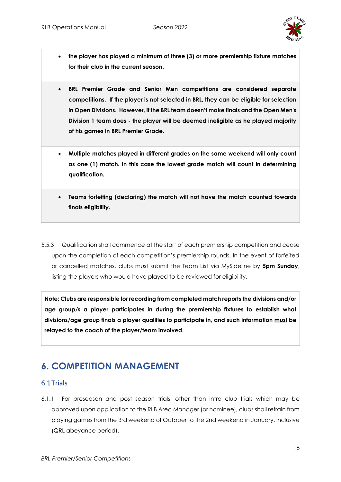

- **the player has played a minimum of three (3) or more premiership fixture matches for their club in the current season.**
- **BRL Premier Grade and Senior Men competitions are considered separate competitions. If the player is not selected in BRL, they can be eligible for selection in Open Divisions. However, if the BRL team doesn't make finals and the Open Men's Division 1 team does - the player will be deemed ineligible as he played majority of his games in BRL Premier Grade.**
- **Multiple matches played in different grades on the same weekend will only count as one (1) match. In this case the lowest grade match will count in determining qualification.**
- **Teams forfeiting (declaring) the match will not have the match counted towards finals eligibility.**
- 5.5.3 Qualification shall commence at the start of each premiership competition and cease upon the completion of each competition's premiership rounds. In the event of forfeited or cancelled matches, clubs must submit the Team List via MySideline by **5pm Sunday**, listing the players who would have played to be reviewed for eligibility.

**Note: Clubs are responsible for recording from completed match reports the divisions and/or age group/s a player participates in during the premiership fixtures to establish what divisions/age group finals a player qualifies to participate in, and such information must be relayed to the coach of the player/team involved.**

# <span id="page-17-0"></span>**6. COMPETITION MANAGEMENT**

#### 6.1Trials

6.1.1 For preseason and post season trials, other than intra club trials which may be approved upon application to the RLB Area Manager (or nominee), clubs shall refrain from playing games from the 3rd weekend of October to the 2nd weekend in January, inclusive (QRL abeyance period).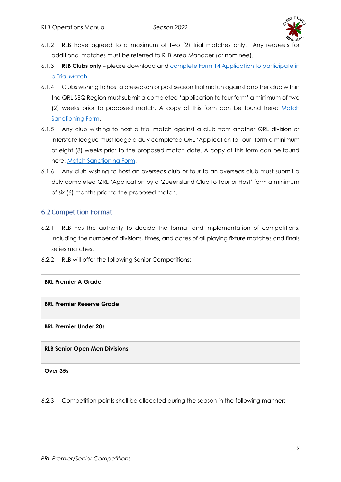

- 6.1.2 RLB have agreed to a maximum of two (2) trial matches only. Any requests for additional matches must be referred to RLB Area Manager (or nominee).
- 6.1.3 **RLB Clubs only** please download and [complete Form 14 Application to participate in](https://www.rugbyleaguebrisbane.com.au/_files/ugd/a0779d_6ae4d05c83cc4fb59738986f7579cf6a.pdf)  [a Trial Match.](https://www.rugbyleaguebrisbane.com.au/_files/ugd/a0779d_6ae4d05c83cc4fb59738986f7579cf6a.pdf)
- 6.1.4 Clubs wishing to host a preseason or post season trial match against another club within the QRL SEQ Region must submit a completed 'application to tour form' a minimum of two (2) weeks prior to proposed match. A copy of this form can be found here: Match [Sanctioning Form.](https://www.cognitoforms.com/QueenslandRugbyLeague1/MatchSanctioningForm2)
- 6.1.5 Any club wishing to host a trial match against a club from another QRL division or Interstate league must lodge a duly completed QRL 'Application to Tour' form a minimum of eight (8) weeks prior to the proposed match date. A copy of this form can be found here: [Match Sanctioning Form.](https://www.cognitoforms.com/QueenslandRugbyLeague1/MatchSanctioningForm2)
- 6.1.6 Any club wishing to host an overseas club or tour to an overseas club must submit a duly completed QRL 'Application by a Queensland Club to Tour or Host' form a minimum of six (6) months prior to the proposed match.

### 6.2Competition Format

- 6.2.1 RLB has the authority to decide the format and implementation of competitions, including the number of divisions, times, and dates of all playing fixture matches and finals series matches.
- 6.2.2 RLB will offer the following Senior Competitions:

| <b>BRL Premier A Grade</b>           |
|--------------------------------------|
| <b>BRL Premier Reserve Grade</b>     |
| <b>BRL Premier Under 20s</b>         |
| <b>RLB Senior Open Men Divisions</b> |
| Over 35s                             |

6.2.3 Competition points shall be allocated during the season in the following manner: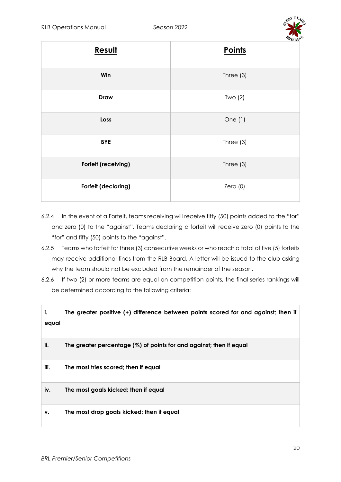

| Result              | - - - - -<br><b>Points</b> |
|---------------------|----------------------------|
| Win                 | Three $(3)$                |
| <b>Draw</b>         | Two $(2)$                  |
| Loss                | One $(1)$                  |
| <b>BYE</b>          | Three $(3)$                |
| Forfeit (receiving) | Three $(3)$                |
| Forfeit (declaring) | Zero(0)                    |

- 6.2.4 In the event of a Forfeit, teams receiving will receive fifty (50) points added to the "for" and zero (0) to the "against". Teams declaring a forfeit will receive zero (0) points to the "for" and fifty (50) points to the "against".
- 6.2.5 Teams who forfeit for three (3) consecutive weeks or who reach a total of five (5) forfeits may receive additional fines from the RLB Board. A letter will be issued to the club asking why the team should not be excluded from the remainder of the season.
- 6.2.6 If two (2) or more teams are equal on competition points, the final series rankings will be determined according to the following criteria:

| i.<br>equal | The greater positive (+) difference between points scored for and against; then if |
|-------------|------------------------------------------------------------------------------------|
| ii.         | The greater percentage $(\%)$ of points for and against; then if equal             |
| iii.        | The most tries scored; then if equal                                               |
| iv.         | The most goals kicked; then if equal                                               |
| ۷.          | The most drop goals kicked; then if equal                                          |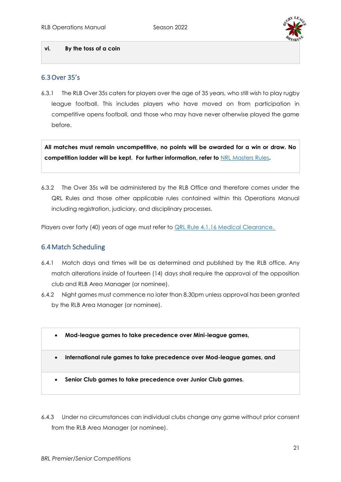

#### **vi. By the toss of a coin**

#### 6.3Over 35's

6.3.1 The RLB Over 35s caters for players over the age of 35 years, who still wish to play rugby league football. This includes players who have moved on from participation in competitive opens football, and those who may have never otherwise played the game before.

**All matches must remain uncompetitive, no points will be awarded for a win or draw. No competition ladder will be kept. For further information, refer to** NRL [Masters Rules](https://www.playrugbyleague.com/media/2172/official-nrl-masters-laws-jun-2011.pdf?_ga=2.234266269.285067718.1616240900-1105502845.1611784090)**.**

6.3.2 The Over 35s will be administered by the RLB Office and therefore comes under the QRL Rules and those other applicable rules contained within this Operations Manual including registration, judiciary, and disciplinary processes.

Players over forty (40) years of age must refer to **[QRL Rule 4.1.16 Medical Clearance.](https://www.qrl.com.au/contentassets/fe165f50b22a4557bddabb6ca8e9d0a2/2021-part-4--review-261121-final.pdf)** 

#### 6.4Match Scheduling

- 6.4.1 Match days and times will be as determined and published by the RLB office. Any match alterations inside of fourteen (14) days shall require the approval of the opposition club and RLB Area Manager (or nominee).
- 6.4.2 Night games must commence no later than 8.30pm unless approval has been granted by the RLB Area Manager (or nominee).
	- **Mod-league games to take precedence over Mini-league games,**
	- **International rule games to take precedence over Mod-league games, and**
	- **Senior Club games to take precedence over Junior Club games.**
- 6.4.3 Under no circumstances can individual clubs change any game without prior consent from the RLB Area Manager (or nominee).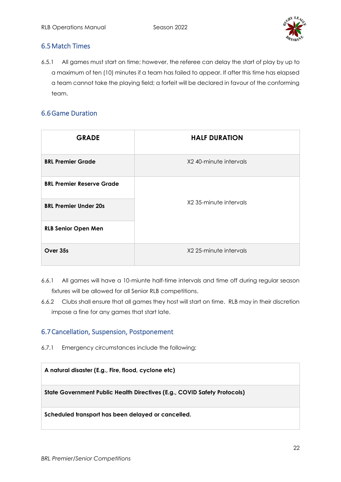

# 6.5Match Times

6.5.1 All games must start on time; however, the referee can delay the start of play by up to a maximum of ten (10) minutes if a team has failed to appear. If after this time has elapsed a team cannot take the playing field; a forfeit will be declared in favour of the conforming team.

# 6.6Game Duration

| <b>GRADE</b>                     | <b>HALF DURATION</b>   |
|----------------------------------|------------------------|
| <b>BRL Premier Grade</b>         | X2 40-minute intervals |
| <b>BRL Premier Reserve Grade</b> |                        |
| <b>BRL Premier Under 20s</b>     | X2 35-minute intervals |
| <b>RLB Senior Open Men</b>       |                        |
| Over 35s                         | X2 25-minute intervals |

- 6.6.1 All games will have a 10-miunte half-time intervals and time off during regular season fixtures will be allowed for all Senior RLB competitions.
- 6.6.2 Clubs shall ensure that all games they host will start on time. RLB may in their discretion impose a fine for any games that start late.

### 6.7Cancellation, Suspension, Postponement

6.7.1 Emergency circumstances include the following:

**A natural disaster (E.g., Fire, flood, cyclone etc)**

**State Government Public Health Directives (E.g., COVID Safety Protocols)**

**Scheduled transport has been delayed or cancelled.**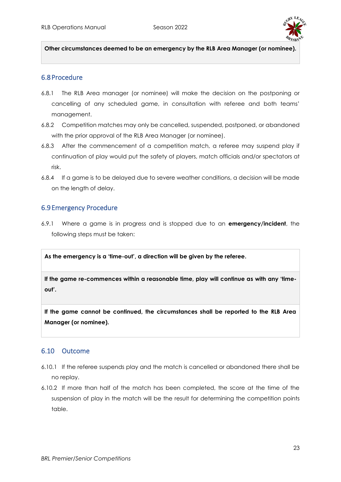

**Other circumstances deemed to be an emergency by the RLB Area Manager (or nominee).**

#### 6.8Procedure

- 6.8.1 The RLB Area manager (or nominee) will make the decision on the postponing or cancelling of any scheduled game, in consultation with referee and both teams' management.
- 6.8.2 Competition matches may only be cancelled, suspended, postponed, or abandoned with the prior approval of the RLB Area Manager (or nominee).
- 6.8.3 After the commencement of a competition match, a referee may suspend play if continuation of play would put the safety of players, match officials and/or spectators at risk.
- 6.8.4 If a game is to be delayed due to severe weather conditions, a decision will be made on the length of delay.

#### 6.9Emergency Procedure

6.9.1 Where a game is in progress and is stopped due to an **emergency/incident**, the following steps must be taken:

**As the emergency is a 'time-out', a direction will be given by the referee.**

**If the game re-commences within a reasonable time, play will continue as with any 'timeout'.**

**If the game cannot be continued, the circumstances shall be reported to the RLB Area Manager (or nominee).** 

#### 6.10 Outcome

- 6.10.1 If the referee suspends play and the match is cancelled or abandoned there shall be no replay.
- 6.10.2 If more than half of the match has been completed, the score at the time of the suspension of play in the match will be the result for determining the competition points table.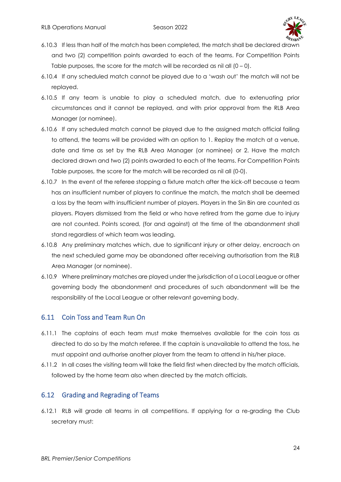

- 6.10.3 If less than half of the match has been completed, the match shall be declared drawn and two (2) competition points awarded to each of the teams. For Competition Points Table purposes, the score for the match will be recorded as nil all  $(0 - 0)$ .
- 6.10.4 If any scheduled match cannot be played due to a 'wash out' the match will not be replayed.
- 6.10.5 If any team is unable to play a scheduled match, due to extenuating prior circumstances and it cannot be replayed, and with prior approval from the RLB Area Manager (or nominee).
- 6.10.6 If any scheduled match cannot be played due to the assigned match official failing to attend, the teams will be provided with an option to 1. Replay the match at a venue, date and time as set by the RLB Area Manager (or nominee) or 2. Have the match declared drawn and two (2) points awarded to each of the teams. For Competition Points Table purposes, the score for the match will be recorded as nil all (0-0).
- 6.10.7 In the event of the referee stopping a fixture match after the kick-off because a team has an insufficient number of players to continue the match, the match shall be deemed a loss by the team with insufficient number of players. Players in the Sin Bin are counted as players. Players dismissed from the field or who have retired from the game due to injury are not counted. Points scored, (for and against) at the time of the abandonment shall stand regardless of which team was leading.
- 6.10.8 Any preliminary matches which, due to significant injury or other delay, encroach on the next scheduled game may be abandoned after receiving authorisation from the RLB Area Manager (or nominee).
- 6.10.9 Where preliminary matches are played under the jurisdiction of a Local League or other governing body the abandonment and procedures of such abandonment will be the responsibility of the Local League or other relevant governing body.

### 6.11 Coin Toss and Team Run On

- 6.11.1 The captains of each team must make themselves available for the coin toss as directed to do so by the match referee. If the captain is unavailable to attend the toss, he must appoint and authorise another player from the team to attend in his/her place.
- 6.11.2 In all cases the visiting team will take the field first when directed by the match officials, followed by the home team also when directed by the match officials.

#### 6.12 Grading and Regrading of Teams

6.12.1 RLB will grade all teams in all competitions. If applying for a re-grading the Club secretary must: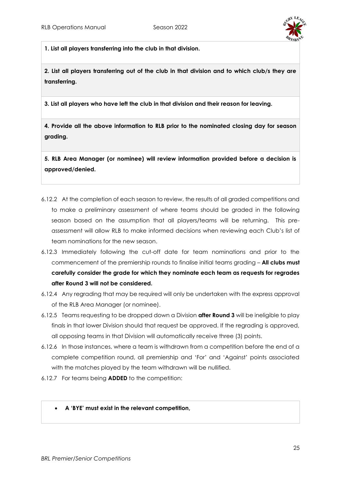

**1. List all players transferring into the club in that division.**

**2. List all players transferring out of the club in that division and to which club/s they are transferring.** 

**3. List all players who have left the club in that division and their reason for leaving.**

**4. Provide all the above information to RLB prior to the nominated closing day for season grading.**

**5. RLB Area Manager (or nominee) will review information provided before a decision is approved/denied.** 

- 6.12.2 At the completion of each season to review, the results of all graded competitions and to make a preliminary assessment of where teams should be graded in the following season based on the assumption that all players/teams will be returning. This preassessment will allow RLB to make informed decisions when reviewing each Club's list of team nominations for the new season.
- 6.12.3 Immediately following the cut-off date for team nominations and prior to the commencement of the premiership rounds to finalise initial teams grading – **All clubs must carefully consider the grade for which they nominate each team as requests for regrades after Round 3 will not be considered.**
- 6.12.4 Any regrading that may be required will only be undertaken with the express approval of the RLB Area Manager (or nominee).
- 6.12.5 Teams requesting to be dropped down a Division **after Round 3** will be ineligible to play finals in that lower Division should that request be approved. If the regrading is approved, all opposing teams in that Division will automatically receive three (3) points.
- 6.12.6 In those instances, where a team is withdrawn from a competition before the end of a complete competition round, all premiership and 'For' and 'Against' points associated with the matches played by the team withdrawn will be nullified.
- 6.12.7 For teams being **ADDED** to the competition:

#### • **A 'BYE' must exist in the relevant competition,**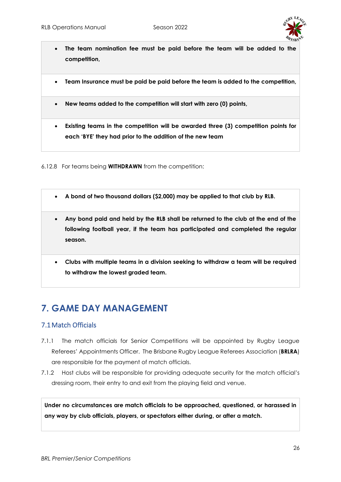

- **The team nomination fee must be paid before the team will be added to the competition,**
- **Team Insurance must be paid be paid before the team is added to the competition,**
- **New teams added to the competition will start with zero (0) points,**
- **Existing teams in the competition will be awarded three (3) competition points for each 'BYE' they had prior to the addition of the new team**

6.12.8 For teams being **WITHDRAWN** from the competition:

- **A bond of two thousand dollars (\$2,000) may be applied to that club by RLB.**
- **Any bond paid and held by the RLB shall be returned to the club at the end of the following football year, if the team has participated and completed the regular season.**
- **Clubs with multiple teams in a division seeking to withdraw a team will be required to withdraw the lowest graded team.**

# <span id="page-25-0"></span>**7. GAME DAY MANAGEMENT**

### 7.1Match Officials

- 7.1.1 The match officials for Senior Competitions will be appointed by Rugby League Referees' Appointments Officer. The Brisbane Rugby League Referees Association (**BRLRA**) are responsible for the payment of match officials.
- 7.1.2 Host clubs will be responsible for providing adequate security for the match official's dressing room, their entry to and exit from the playing field and venue.

**Under no circumstances are match officials to be approached, questioned, or harassed in any way by club officials, players, or spectators either during, or after a match.**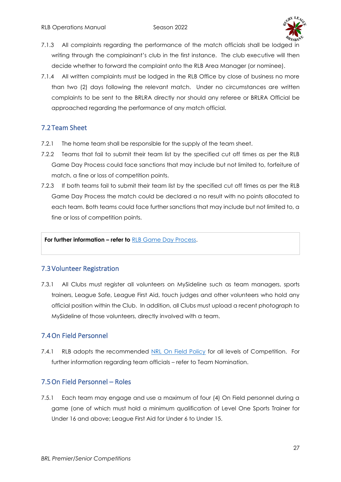

- 7.1.3 All complaints regarding the performance of the match officials shall be lodged in writing through the complainant's club in the first instance. The club executive will then decide whether to forward the complaint onto the RLB Area Manager (or nominee).
- 7.1.4 All written complaints must be lodged in the RLB Office by close of business no more than two (2) days following the relevant match. Under no circumstances are written complaints to be sent to the BRLRA directly nor should any referee or BRLRA Official be approached regarding the performance of any match official.

# 7.2Team Sheet

- 7.2.1 The home team shall be responsible for the supply of the team sheet.
- 7.2.2 Teams that fail to submit their team list by the specified cut off times as per the RLB Game Day Process could face sanctions that may include but not limited to, forfeiture of match, a fine or loss of competition points.
- 7.2.3 If both teams fail to submit their team list by the specified cut off times as per the RLB Game Day Process the match could be declared a no result with no points allocated to each team. Both teams could face further sanctions that may include but not limited to, a fine or loss of competition points.

**For further information – refer to** [RLB Game Day Process.](https://www.rugbyleaguebrisbane.com.au/_files/ugd/a0779d_eea061efd2434942a4ac66df36953898.pdf)

### 7.3Volunteer Registration

7.3.1 All Clubs must register all volunteers on MySideline such as team managers, sports trainers, League Safe, League First Aid, touch judges and other volunteers who hold any official position within the Club. In addition, all Clubs must upload a recent photograph to MySideline of those volunteers, directly involved with a team.

### 7.4On Field Personnel

7.4.1 RLB adopts the recommended [NRL On Field Policy](https://www.playrugbyleague.com/media/11096/nrl-on-field-policy_p005_v40_21022019-1.pdf?_ga=2.186502305.928592808.1639458492-1851551710.1633482972) for all levels of Competition. For further information regarding team officials – refer to Team Nomination.

### 7.5On Field Personnel – Roles

7.5.1 Each team may engage and use a maximum of four (4) On Field personnel during a game (one of which must hold a minimum qualification of Level One Sports Trainer for Under 16 and above; League First Aid for Under 6 to Under 15.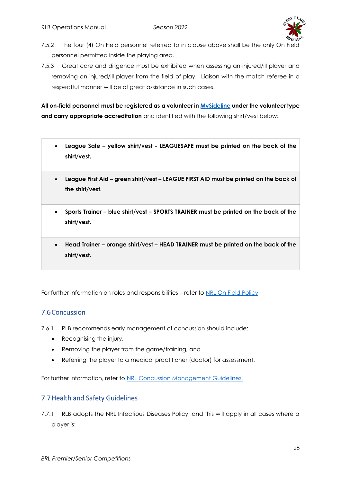

- 7.5.2 The four (4) On Field personnel referred to in clause above shall be the only On Field personnel permitted inside the playing area.
- 7.5.3 Great care and diligence must be exhibited when assessing an injured/ill player and removing an injured/ill player from the field of play. Liaison with the match referee in a respectful manner will be of great assistance in such cases.

**All on-field personnel must be registered as a volunteer in [MySideline](https://profile.mysideline.com.au/register/) under the volunteer type**  and carry appropriate accreditation and identified with the following shirt/vest below:

- **League Safe – yellow shirt/vest - LEAGUESAFE must be printed on the back of the shirt/vest.**
- **League First Aid – green shirt/vest – LEAGUE FIRST AID must be printed on the back of the shirt/vest.**
- **Sports Trainer – blue shirt/vest – SPORTS TRAINER must be printed on the back of the shirt/vest.**
- **Head Trainer – orange shirt/vest – HEAD TRAINER must be printed on the back of the shirt/vest.**

For further information on roles and responsibilities – refer to [NRL On Field Policy](https://www.playrugbyleague.com/media/11096/nrl-on-field-policy_p005_v40_21022019-1.pdf?_ga=2.186502305.928592808.1639458492-1851551710.1633482972)

### 7.6Concussion

7.6.1 RLB recommends early management of concussion should include:

- Recognising the injury,
- Removing the player from the game/training, and
- Referring the player to a medical practitioner (doctor) for assessment.

For further information, refer to [NRL Concussion Management Guidelines.](https://www.playrugbyleague.com/media/10905/2021-concussion-management-guidelines_2021.pdf) 

### 7.7Health and Safety Guidelines

7.7.1 RLB adopts the NRL Infectious Diseases Policy, and this will apply in all cases where a player is: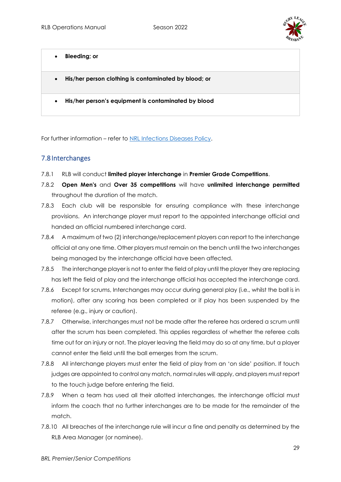

- **Bleeding; or**
- **His/her person clothing is contaminated by blood; or**
- **His/her person's equipment is contaminated by blood**

For further information – refer to [NRL Infections Diseases Policy.](https://www.playrugbyleague.com/media/11100/nrl_infectious-diseases-policyp002_21_011220202019-1.pdf)

#### 7.8Interchanges

- 7.8.1 RLB will conduct **limited player interchange** in **Premier Grade Competitions**.
- 7.8.2 **Open Men's** and **Over 35 competitions** will have **unlimited interchange permitted** throughout the duration of the match.
- 7.8.3 Each club will be responsible for ensuring compliance with these interchange provisions. An interchange player must report to the appointed interchange official and handed an official numbered interchange card.
- 7.8.4 A maximum of two (2) interchange/replacement players can report to the interchange official at any one time. Other players must remain on the bench until the two interchanges being managed by the interchange official have been affected.
- 7.8.5 The interchange player is not to enter the field of play until the player they are replacing has left the field of play and the interchange official has accepted the interchange card.
- 7.8.6 Except for scrums, Interchanges may occur during general play (i.e., whilst the ball is in motion), after any scoring has been completed or if play has been suspended by the referee (e.g., injury or caution).
- 7.8.7 Otherwise, interchanges must not be made after the referee has ordered a scrum until after the scrum has been completed. This applies regardless of whether the referee calls time out for an injury or not. The player leaving the field may do so at any time, but a player cannot enter the field until the ball emerges from the scrum.
- 7.8.8 All interchange players must enter the field of play from an 'on side' position. If touch judges are appointed to control any match, normal rules will apply, and players must report to the touch judge before entering the field.
- 7.8.9 When a team has used all their allotted interchanges, the interchange official must inform the coach that no further interchanges are to be made for the remainder of the match.
- 7.8.10 All breaches of the interchange rule will incur a fine and penalty as determined by the RLB Area Manager (or nominee).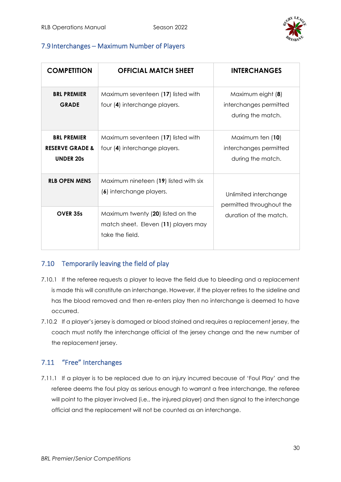

# 7.9Interchanges – Maximum Number of Players

| <b>COMPETITION</b>                                                   | <b>OFFICIAL MATCH SHEET</b>                                                                  | <b>INTERCHANGES</b>                                              |
|----------------------------------------------------------------------|----------------------------------------------------------------------------------------------|------------------------------------------------------------------|
| <b>BRL PREMIER</b><br><b>GRADE</b>                                   | Maximum seventeen (17) listed with<br>four (4) interchange players.                          | Maximum eight (8)<br>interchanges permitted<br>during the match. |
| <b>BRL PREMIER</b><br><b>RESERVE GRADE &amp;</b><br><b>UNDER 20s</b> | Maximum seventeen (17) listed with<br>four (4) interchange players.                          | Maximum ten (10)<br>interchanges permitted<br>during the match.  |
| <b>RLB OPEN MENS</b>                                                 | Maximum nineteen (19) listed with six<br>(6) interchange players.                            | Unlimited interchange<br>permitted throughout the                |
| OVER 35s                                                             | Maximum twenty (20) listed on the<br>match sheet. Eleven (11) players may<br>take the field. | duration of the match.                                           |

# 7.10 Temporarily leaving the field of play

- 7.10.1 If the referee requests a player to leave the field due to bleeding and a replacement is made this will constitute an interchange. However, if the player retires to the sideline and has the blood removed and then re-enters play then no interchange is deemed to have occurred.
- 7.10.2 If a player's jersey is damaged or blood stained and requires a replacement jersey, the coach must notify the interchange official of the jersey change and the new number of the replacement jersey.

# 7.11 "Free" Interchanges

7.11.1 If a player is to be replaced due to an injury incurred because of 'Foul Play' and the referee deems the foul play as serious enough to warrant a free interchange, the referee will point to the player involved (i.e., the injured player) and then signal to the interchange official and the replacement will not be counted as an interchange.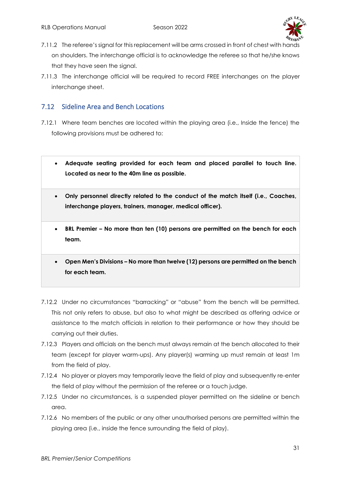

- 7.11.2 The referee's signal for this replacement will be arms crossed in front of chest with hands on shoulders. The interchange official is to acknowledge the referee so that he/she knows that they have seen the signal.
- 7.11.3 The interchange official will be required to record FREE interchanges on the player interchange sheet.

### 7.12 Sideline Area and Bench Locations

- 7.12.1 Where team benches are located within the playing area (i.e., Inside the fence) the following provisions must be adhered to:
	- **Adequate seating provided for each team and placed parallel to touch line. Located as near to the 40m line as possible.**
	- **Only personnel directly related to the conduct of the match itself (i.e., Coaches, interchange players, trainers, manager, medical officer).**
	- **BRL Premier – No more than ten (10) persons are permitted on the bench for each team.**
	- **Open Men's Divisions – No more than twelve (12) persons are permitted on the bench for each team.**
- 7.12.2 Under no circumstances "barracking" or "abuse" from the bench will be permitted. This not only refers to abuse, but also to what might be described as offering advice or assistance to the match officials in relation to their performance or how they should be carrying out their duties.
- 7.12.3 Players and officials on the bench must always remain at the bench allocated to their team (except for player warm-ups). Any player(s) warming up must remain at least 1m from the field of play.
- 7.12.4 No player or players may temporarily leave the field of play and subsequently re-enter the field of play without the permission of the referee or a touch judge.
- 7.12.5 Under no circumstances, is a suspended player permitted on the sideline or bench area.
- 7.12.6 No members of the public or any other unauthorised persons are permitted within the playing area (i.e., inside the fence surrounding the field of play).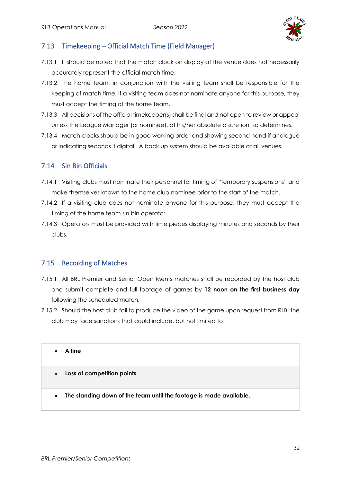

## 7.13 Timekeeping – Official Match Time (Field Manager)

- 7.13.1 It should be noted that the match clock on display at the venue does not necessarily accurately represent the official match time.
- 7.13.2 The home team, in conjunction with the visiting team shall be responsible for the keeping of match time. If a visiting team does not nominate anyone for this purpose, they must accept the timing of the home team.
- 7.13.3 All decisions of the official timekeeper(s) shall be final and not open to review or appeal unless the League Manager (or nominee), at his/her absolute discretion, so determines.
- 7.13.4 Match clocks should be in good working order and showing second hand if analogue or indicating seconds if digital. A back up system should be available at all venues.

### 7.14 Sin Bin Officials

- 7.14.1 Visiting clubs must nominate their personnel for timing of "temporary suspensions" and make themselves known to the home club nominee prior to the start of the match.
- 7.14.2 If a visiting club does not nominate anyone for this purpose, they must accept the timing of the home team sin bin operator.
- 7.14.3 Operators must be provided with time pieces displaying minutes and seconds by their clubs.

### 7.15 Recording of Matches

- 7.15.1 All BRL Premier and Senior Open Men's matches shall be recorded by the host club and submit complete and full footage of games by **12 noon on the first business day**  following the scheduled match.
- 7.15.2 Should the host club fail to produce the video of the game upon request from RLB, the club may face sanctions that could include, but not limited to:

• **A fine**

- **Loss of competition points**
- **The standing down of the team until the footage is made available.**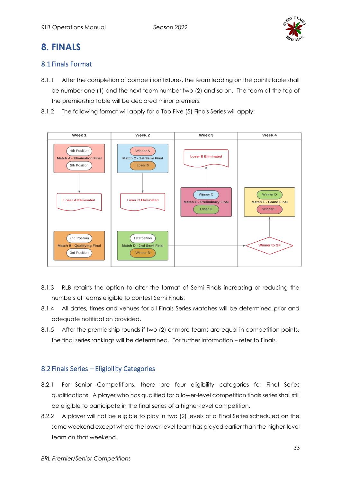

# <span id="page-32-0"></span>**8. FINALS**

# 8.1Finals Format

- 8.1.1 After the completion of competition fixtures, the team leading on the points table shall be number one (1) and the next team number two (2) and so on. The team at the top of the premiership table will be declared minor premiers.
- 8.1.2 The following format will apply for a Top Five (5) Finals Series will apply:



- 8.1.3 RLB retains the option to alter the format of Semi Finals increasing or reducing the numbers of teams eligible to contest Semi Finals.
- 8.1.4 All dates, times and venues for all Finals Series Matches will be determined prior and adequate notification provided.
- 8.1.5 After the premiership rounds if two (2) or more teams are equal in competition points, the final series rankings will be determined. For further information – refer to Finals.

# 8.2Finals Series – Eligibility Categories

- 8.2.1 For Senior Competitions, there are four eligibility categories for Final Series qualifications. A player who has qualified for a lower-level competition finals series shall still be eligible to participate in the final series of a higher-level competition.
- 8.2.2 A player will not be eligible to play in two (2) levels of a Final Series scheduled on the same weekend except where the lower-level team has played earlier than the higher-level team on that weekend.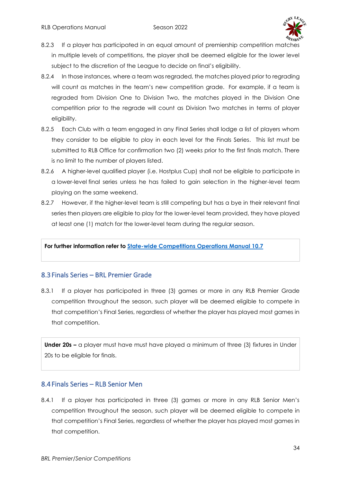

- 8.2.3 If a player has participated in an equal amount of premiership competition matches in multiple levels of competitions, the player shall be deemed eligible for the lower level subject to the discretion of the League to decide on final's eligibility.
- 8.2.4 In those instances, where a team was regraded, the matches played prior to regrading will count as matches in the team's new competition grade. For example, if a team is regraded from Division One to Division Two, the matches played in the Division One competition prior to the regrade will count as Division Two matches in terms of player eligibility.
- 8.2.5 Each Club with a team engaged in any Final Series shall lodge a list of players whom they consider to be eligible to play in each level for the Finals Series. This list must be submitted to RLB Office for confirmation two (2) weeks prior to the first finals match. There is no limit to the number of players listed.
- 8.2.6 A higher-level qualified player (i.e. Hostplus Cup) shall not be eligible to participate in a lower-level final series unless he has failed to gain selection in the higher-level team playing on the same weekend.
- 8.2.7 However, if the higher-level team is still competing but has a bye in their relevant final series then players are eligible to play for the lower-level team provided, they have played at least one (1) match for the lower-level team during the regular season.

#### **For further information refer to State-wide [Competitions Operations Manual 10.7](https://www.qrl.com.au/contentassets/1efbf7cfc3424b74b12314b426888af2/2022-statewide-competitions-operations-manual---v1.pdf)**

#### 8.3Finals Series – BRL Premier Grade

8.3.1 If a player has participated in three (3) games or more in any RLB Premier Grade competition throughout the season, such player will be deemed eligible to compete in that competition's Final Series, regardless of whether the player has played most games in that competition.

**Under 20s –** a player must have must have played a minimum of three (3) fixtures in Under 20s to be eligible for finals.

#### 8.4Finals Series – RLB Senior Men

8.4.1 If a player has participated in three (3) games or more in any RLB Senior Men's competition throughout the season, such player will be deemed eligible to compete in that competition's Final Series, regardless of whether the player has played most games in that competition.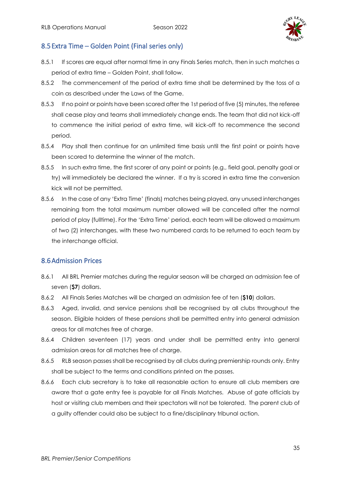

### 8.5Extra Time – Golden Point (Final series only)

- 8.5.1 If scores are equal after normal time in any Finals Series match, then in such matches a period of extra time – Golden Point, shall follow.
- 8.5.2 The commencement of the period of extra time shall be determined by the toss of a coin as described under the Laws of the Game.
- 8.5.3 If no point or points have been scored after the 1st period of five (5) minutes, the referee shall cease play and teams shall immediately change ends. The team that did not kick-off to commence the initial period of extra time, will kick-off to recommence the second period.
- 8.5.4 Play shall then continue for an unlimited time basis until the first point or points have been scored to determine the winner of the match.
- 8.5.5 In such extra time, the first scorer of any point or points (e.g., field goal, penalty goal or try) will immediately be declared the winner. If a try is scored in extra time the conversion kick will not be permitted.
- 8.5.6 In the case of any 'Extra Time' (finals) matches being played, any unused interchanges remaining from the total maximum number allowed will be cancelled after the normal period of play (fulltime). For the 'Extra Time' period, each team will be allowed a maximum of two (2) interchanges, with these two numbered cards to be returned to each team by the interchange official.

### 8.6Admission Prices

- 8.6.1 All BRL Premier matches during the regular season will be charged an admission fee of seven (**\$7**) dollars.
- 8.6.2 All Finals Series Matches will be charged an admission fee of ten (**\$10**) dollars.
- 8.6.3 Aged, invalid, and service pensions shall be recognised by all clubs throughout the season. Eligible holders of these pensions shall be permitted entry into general admission areas for all matches free of charge.
- 8.6.4 Children seventeen (17) years and under shall be permitted entry into general admission areas for all matches free of charge.
- 8.6.5 RLB season passes shall be recognised by all clubs during premiership rounds only. Entry shall be subject to the terms and conditions printed on the passes.
- 8.6.6 Each club secretary is to take all reasonable action to ensure all club members are aware that a gate entry fee is payable for all Finals Matches. Abuse of gate officials by host or visiting club members and their spectators will not be tolerated. The parent club of a guilty offender could also be subject to a fine/disciplinary tribunal action.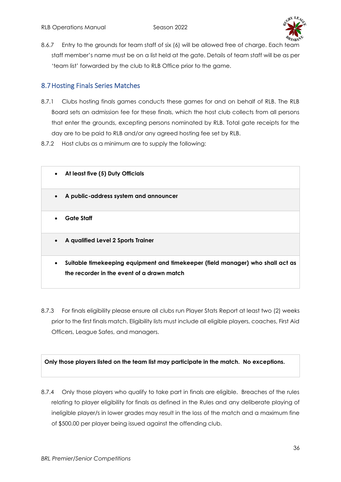

8.6.7 Entry to the grounds for team staff of six (6) will be allowed free of charge. Each team staff member's name must be on a list held at the gate. Details of team staff will be as per 'team list' forwarded by the club to RLB Office prior to the game.

# 8.7Hosting Finals Series Matches

- 8.7.1 Clubs hosting finals games conducts these games for and on behalf of RLB. The RLB Board sets an admission fee for these finals, which the host club collects from all persons that enter the grounds, excepting persons nominated by RLB. Total gate receipts for the day are to be paid to RLB and/or any agreed hosting fee set by RLB.
- 8.7.2 Host clubs as a minimum are to supply the following:



8.7.3 For finals eligibility please ensure all clubs run Player Stats Report at least two (2) weeks prior to the first finals match. Eligibility lists must include all eligible players, coaches, First Aid Officers, League Safes, and managers.

**Only those players listed on the team list may participate in the match. No exceptions.**

8.7.4 Only those players who qualify to take part in finals are eligible. Breaches of the rules relating to player eligibility for finals as defined in the Rules and any deliberate playing of ineligible player/s in lower grades may result in the loss of the match and a maximum fine of \$500.00 per player being issued against the offending club.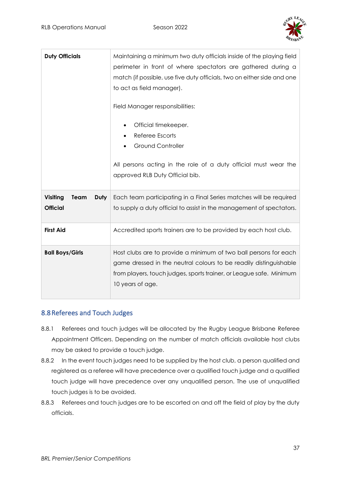

| <b>Duty Officials</b>                              | Maintaining a minimum two duty officials inside of the playing field<br>perimeter in front of where spectators are gathered during a<br>match (if possible, use five duty officials, two on either side and one<br>to act as field manager).<br>Field Manager responsibilities:<br>Official timekeeper.<br>Referee Escorts<br><b>Ground Controller</b><br>All persons acting in the role of a duty official must wear the<br>approved RLB Duty Official bib. |
|----------------------------------------------------|--------------------------------------------------------------------------------------------------------------------------------------------------------------------------------------------------------------------------------------------------------------------------------------------------------------------------------------------------------------------------------------------------------------------------------------------------------------|
| <b>Visiting</b><br>Duty<br>Team<br><b>Official</b> | Each team participating in a Final Series matches will be required<br>to supply a duty official to assist in the management of spectators.                                                                                                                                                                                                                                                                                                                   |
| <b>First Aid</b>                                   | Accredited sports trainers are to be provided by each host club.                                                                                                                                                                                                                                                                                                                                                                                             |
| <b>Ball Boys/Girls</b>                             | Host clubs are to provide a minimum of two ball persons for each<br>game dressed in the neutral colours to be readily distinguishable<br>from players, touch judges, sports trainer, or League safe. Minimum<br>10 years of age.                                                                                                                                                                                                                             |

### 8.8Referees and Touch Judges

- 8.8.1 Referees and touch judges will be allocated by the Rugby League Brisbane Referee Appointment Officers. Depending on the number of match officials available host clubs may be asked to provide a touch judge.
- 8.8.2 In the event touch judges need to be supplied by the host club, a person qualified and registered as a referee will have precedence over a qualified touch judge and a qualified touch judge will have precedence over any unqualified person. The use of unqualified touch judges is to be avoided.
- 8.8.3 Referees and touch judges are to be escorted on and off the field of play by the duty officials.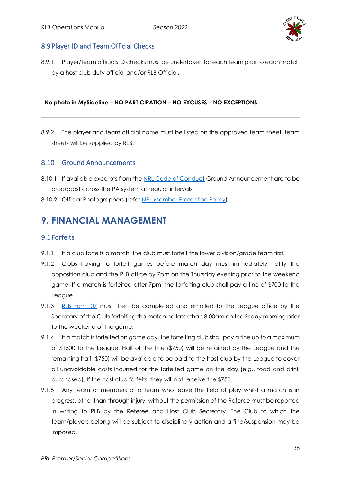

### 8.9 Player ID and Team Official Checks

8.9.1 Player/team officials ID checks must be undertaken for each team prior to each match by a host club duty official and/or RLB Official.

#### **No photo in MySideline – NO PARTICIPATION – NO EXCUSES – NO EXCEPTIONS**

8.9.2 The player and team official name must be listed on the approved team sheet, team sheets will be supplied by RLB.

#### 8.10 Ground Announcements

- 8.10.1 If available excerpts from th[e NRL Code of Conduct](https://www.playrugbyleague.com/media/9949/2020nrl-dev19_code_of_conduct_v4.pdf) Ground Announcement are to be broadcast across the PA system at regular intervals.
- 8.10.2 Official Photographers (refer [NRL Member Protection Policy\)](https://www.playrugbyleague.com/media/1939/nrl-member-protection-policy-revised-27072015-002.pdf)

# <span id="page-37-0"></span>**9. FINANCIAL MANAGEMENT**

#### 9.1Forfeits

- 9.1.1 If a club forfeits a match, the club must forfeit the lower division/grade team first.
- 9.1.2 Clubs having to forfeit games before match day must immediately notify the opposition club and the RLB office by 7pm on the Thursday evening prior to the weekend game. If a match is forfeited after 7pm, the forfeiting club shall pay a fine of \$700 to the League
- 9.1.3 [RLB Form 07](https://www.rugbyleaguebrisbane.com.au/_files/ugd/a0779d_a6fb52d94010443d903aa50b5a36dfd1.pdf) must then be completed and emailed to the League office by the Secretary of the Club forfeiting the match no later than 8.00am on the Friday morning prior to the weekend of the game.
- 9.1.4 If a match is forfeited on game day, the forfeiting club shall pay a fine up to a maximum of \$1500 to the League. Half of the fine (\$750) will be retained by the League and the remaining half (\$750) will be available to be paid to the host club by the League to cover all unavoidable costs incurred for the forfeited game on the day (e.g., food and drink purchased). If the host club forfeits, they will not receive the \$750.
- 9.1.5 Any team or members of a team who leave the field of play whilst a match is in progress, other than through injury, without the permission of the Referee must be reported in writing to RLB by the Referee and Host Club Secretary. The Club to which the team/players belong will be subject to disciplinary action and a fine/suspension may be imposed.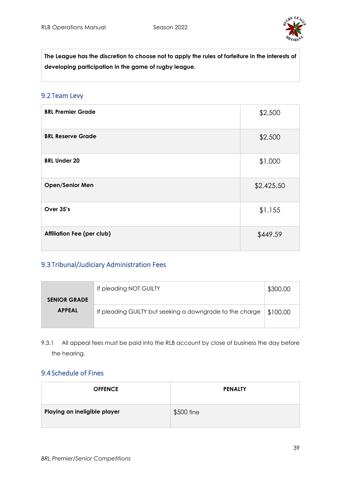

**The League has the discretion to choose not to apply the rules of forfeiture in the interests of developing participation in the game of rugby league.**

#### 9.2Team Levy

| <b>BRL Premier Grade</b>          | \$2,500    |
|-----------------------------------|------------|
| <b>BRL Reserve Grade</b>          | \$2,500    |
| <b>BRL Under 20</b>               | \$1,000    |
| <b>Open/Senior Men</b>            | \$2,425.50 |
| Over 35's                         | \$1,155    |
| <b>Affiliation Fee (per club)</b> | \$449.59   |

## 9.3Tribunal/Judiciary Administration Fees

|                     | If pleading NOT GUILTY                                   | \$300.00 |
|---------------------|----------------------------------------------------------|----------|
| <b>SENIOR GRADE</b> |                                                          |          |
| <b>APPEAL</b>       | If pleading GUILTY but seeking a downgrade to the charge | \$100.00 |

9.3.1 All appeal fees must be paid into the RLB account by close of business the day before the hearing.

### 9.4Schedule of Fines

| <b>OFFENCE</b>               | <b>PENALTY</b> |
|------------------------------|----------------|
| Playing an ineligible player | \$500 fine     |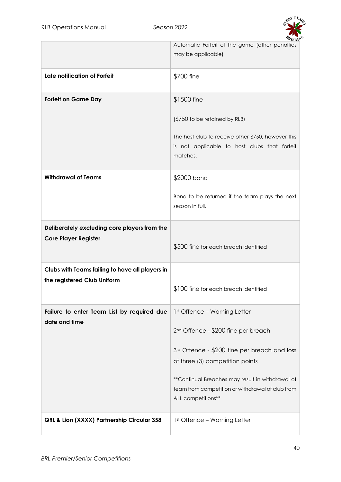

|                                                             | AISB)<br>Automatic Forfeit of the game (other penalties<br>may be applicable)                                               |
|-------------------------------------------------------------|-----------------------------------------------------------------------------------------------------------------------------|
| Late notification of Forfeit                                | \$700 fine                                                                                                                  |
| <b>Forfeit on Game Day</b>                                  | \$1500 fine                                                                                                                 |
|                                                             | (\$750 to be retained by RLB)                                                                                               |
|                                                             | The host club to receive other \$750, however this<br>is not applicable to host clubs that forfeit<br>matches.              |
| <b>Withdrawal of Teams</b>                                  | \$2000 bond                                                                                                                 |
|                                                             | Bond to be returned if the team plays the next<br>season in full.                                                           |
| Deliberately excluding core players from the                |                                                                                                                             |
| <b>Core Player Register</b>                                 | \$500 fine for each breach identified                                                                                       |
| Clubs with Teams failing to have all players in             |                                                                                                                             |
| the registered Club Uniform                                 | \$100 fine for each breach identified                                                                                       |
| Failure to enter Team List by required due<br>date and time | 1st Offence - Warning Letter                                                                                                |
|                                                             | 2 <sup>nd</sup> Offence - \$200 fine per breach                                                                             |
|                                                             | 3rd Offence - \$200 fine per breach and loss                                                                                |
|                                                             | of three (3) competition points                                                                                             |
|                                                             | ** Continual Breaches may result in withdrawal of<br>team from competition or withdrawal of club from<br>ALL competitions** |
| QRL & Lion (XXXX) Partnership Circular 358                  | 1st Offence - Warning Letter                                                                                                |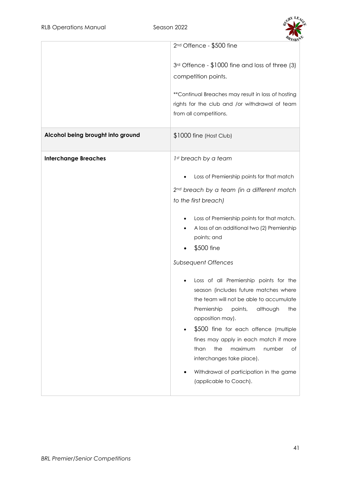

|                                   | $2nd$ Offence - \$500 fine                                                                                                                                                                                                                                                                                                                                                                                                |
|-----------------------------------|---------------------------------------------------------------------------------------------------------------------------------------------------------------------------------------------------------------------------------------------------------------------------------------------------------------------------------------------------------------------------------------------------------------------------|
| Alcohol being brought into ground | $3rd$ Offence - \$1000 fine and loss of three (3)<br>competition points.<br>** Continual Breaches may result in loss of hosting<br>rights for the club and /or withdrawal of team<br>from all competitions.<br>\$1000 fine (Host Club)                                                                                                                                                                                    |
|                                   |                                                                                                                                                                                                                                                                                                                                                                                                                           |
| <b>Interchange Breaches</b>       | 1st breach by a team                                                                                                                                                                                                                                                                                                                                                                                                      |
|                                   | Loss of Premiership points for that match                                                                                                                                                                                                                                                                                                                                                                                 |
|                                   | 2 <sup>nd</sup> breach by a team (in a different match                                                                                                                                                                                                                                                                                                                                                                    |
|                                   | to the first breach)                                                                                                                                                                                                                                                                                                                                                                                                      |
|                                   | Loss of Premiership points for that match.<br>A loss of an additional two (2) Premiership<br>points; and<br>\$500 fine                                                                                                                                                                                                                                                                                                    |
|                                   | <b>Subsequent Offences</b>                                                                                                                                                                                                                                                                                                                                                                                                |
|                                   | Loss of all Premiership points for the<br>season (includes future matches where<br>the team will not be able to accumulate<br>Premiership<br>points,<br>although<br>the<br>opposition may).<br>\$500 fine for each offence (multiple<br>fines may apply in each match if more<br>than<br>the<br>maximum<br>number<br>оf<br>interchanges take place).<br>Withdrawal of participation in the game<br>(applicable to Coach). |